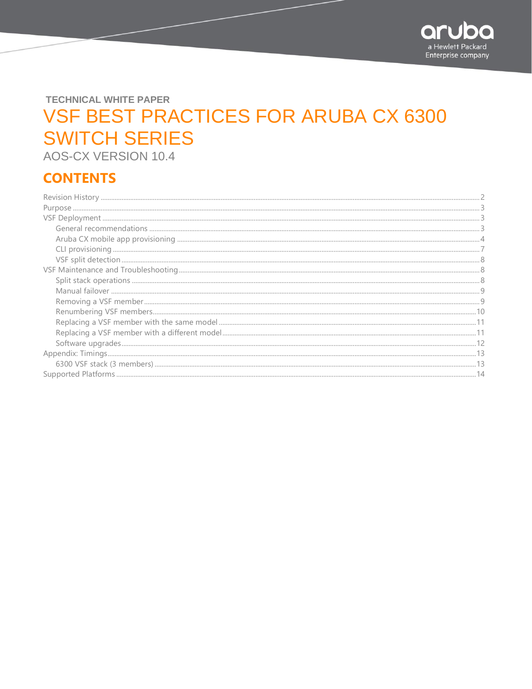

# **TECHNICAL WHITE PAPER VSF BEST PRACTICES FOR ARUBA CX 6300 SWITCH SERIES**

AOS-CX VERSION 10.4

## **CONTENTS**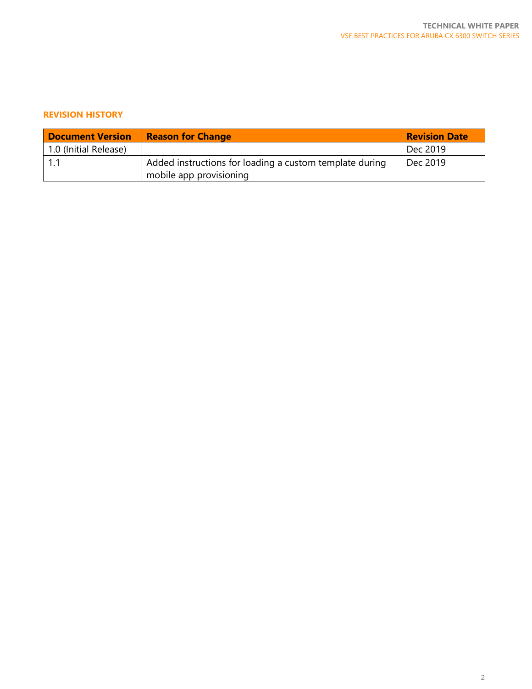## <span id="page-1-0"></span>**REVISION HISTORY**

| <b>Document Version</b> | Reason for Change                                       | <b>Revision Date</b> |
|-------------------------|---------------------------------------------------------|----------------------|
| 1.0 (Initial Release)   |                                                         | Dec 2019             |
|                         | Added instructions for loading a custom template during | Dec 2019             |
|                         | mobile app provisioning                                 |                      |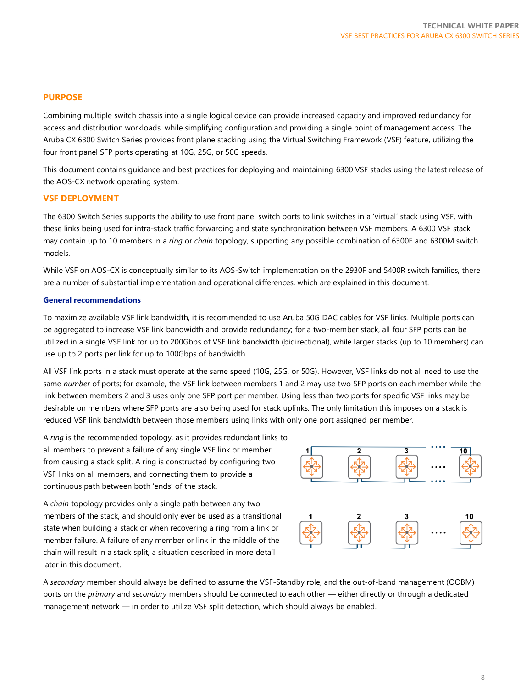## <span id="page-2-0"></span>**PURPOSE**

Combining multiple switch chassis into a single logical device can provide increased capacity and improved redundancy for access and distribution workloads, while simplifying configuration and providing a single point of management access. The Aruba CX 6300 Switch Series provides front plane stacking using the Virtual Switching Framework (VSF) feature, utilizing the four front panel SFP ports operating at 10G, 25G, or 50G speeds.

This document contains guidance and best practices for deploying and maintaining 6300 VSF stacks using the latest release of the AOS-CX network operating system.

### <span id="page-2-1"></span>**VSF DEPLOYMENT**

The 6300 Switch Series supports the ability to use front panel switch ports to link switches in a 'virtual' stack using VSF, with these links being used for intra-stack traffic forwarding and state synchronization between VSF members. A 6300 VSF stack may contain up to 10 members in a *ring* or *chain* topology, supporting any possible combination of 6300F and 6300M switch models.

While VSF on AOS-CX is conceptually similar to its AOS-Switch implementation on the 2930F and 5400R switch families, there are a number of substantial implementation and operational differences, which are explained in this document.

#### <span id="page-2-2"></span>**General recommendations**

To maximize available VSF link bandwidth, it is recommended to use Aruba 50G DAC cables for VSF links. Multiple ports can be aggregated to increase VSF link bandwidth and provide redundancy; for a two-member stack, all four SFP ports can be utilized in a single VSF link for up to 200Gbps of VSF link bandwidth (bidirectional), while larger stacks (up to 10 members) can use up to 2 ports per link for up to 100Gbps of bandwidth.

All VSF link ports in a stack must operate at the same speed (10G, 25G, or 50G). However, VSF links do not all need to use the same *number* of ports; for example, the VSF link between members 1 and 2 may use two SFP ports on each member while the link between members 2 and 3 uses only one SFP port per member. Using less than two ports for specific VSF links may be desirable on members where SFP ports are also being used for stack uplinks. The only limitation this imposes on a stack is reduced VSF link bandwidth between those members using links with only one port assigned per member.

A *ring* is the recommended topology, as it provides redundant links to all members to prevent a failure of any single VSF link or member from causing a stack split. A ring is constructed by configuring two VSF links on all members, and connecting them to provide a continuous path between both 'ends' of the stack.

A *chain* topology provides only a single path between any two members of the stack, and should only ever be used as a transitional state when building a stack or when recovering a ring from a link or member failure. A failure of any member or link in the middle of the chain will result in a stack split, a situation described in more detail later in this document.



A *secondary* member should always be defined to assume the VSF-Standby role, and the out-of-band management (OOBM) ports on the *primary* and *secondary* members should be connected to each other — either directly or through a dedicated management network — in order to utilize VSF split detection, which should always be enabled.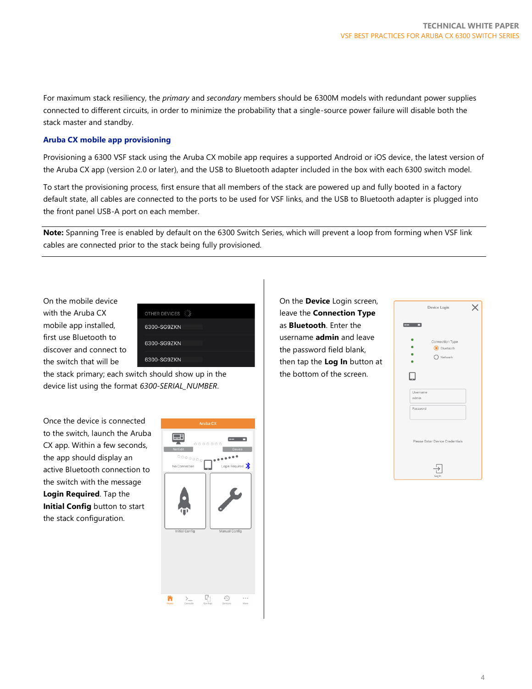For maximum stack resiliency, the *primary* and *secondary* members should be 6300M models with redundant power supplies connected to different circuits, in order to minimize the probability that a single-source power failure will disable both the stack master and standby.

## <span id="page-3-0"></span>**Aruba CX mobile app provisioning**

Provisioning a 6300 VSF stack using the Aruba CX mobile app requires a supported Android or iOS device, the latest version of the Aruba CX app (version 2.0 or later), and the USB to Bluetooth adapter included in the box with each 6300 switch model.

To start the provisioning process, first ensure that all members of the stack are powered up and fully booted in a factory default state, all cables are connected to the ports to be used for VSF links, and the USB to Bluetooth adapter is plugged into the front panel USB-A port on each member.

**Note:** Spanning Tree is enabled by default on the 6300 Switch Series, which will prevent a loop from forming when VSF link cables are connected prior to the stack being fully provisioned.

On the mobile device with the Aruba CX mobile app installed, first use Bluetooth to discover and connect to the switch that will be

| OTHER DEVICES |  |
|---------------|--|
| 6300-SG9ZKN   |  |
| 6300-SG9ZKN   |  |
| 6300-SG9ZKN   |  |

the stack primary; each switch should show up in the device list using the format *6300-SERIAL\_NUMBER*.

On the **Device** Login screen, leave the **Connection Type**  as **Bluetooth**. Enter the username **admin** and leave the password field blank, then tap the **Log In** button at the bottom of the screen.

| Connection Type<br>Bluetooth    |
|---------------------------------|
| $\bigcirc$ Network              |
| Username<br>admin<br>Password   |
| Please Enter Device Credentials |
|                                 |

Once the device is connected to the switch, launch the Aruba CX app. Within a few seconds, the app should display an active Bluetooth connection to the switch with the message **Login Required**. Tap the **Initial Config** button to start the stack configuration.

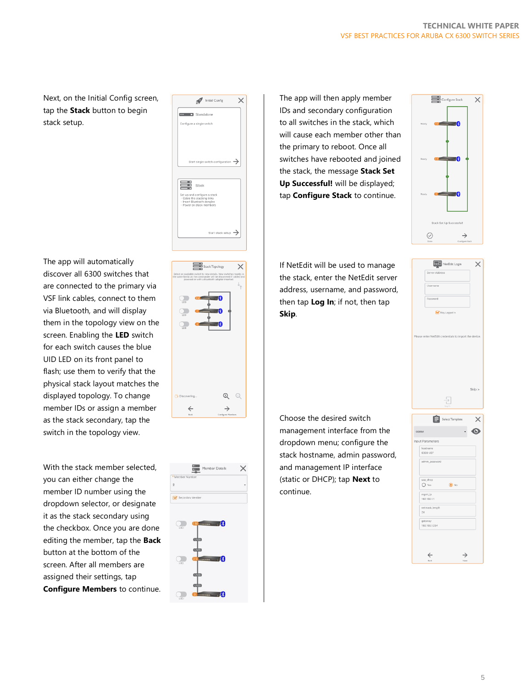Next, on the Initial Config screen, tap the **Stack** button to begin stack setup.



The app will automatically discover all 6300 switches that are connected to the primary via VSF link cables, connect to them via Bluetooth, and will display them in the topology view on the screen. Enabling the **LED** switch for each switch causes the blue UID LED on its front panel to flash; use them to verify that the physical stack layout matches the displayed topology. To change member IDs or assign a member as the stack secondary, tap the switch in the topology view.

With the stack member selected, you can either change the member ID number using the dropdown selector, or designate it as the stack secondary using the checkbox. Once you are done editing the member, tap the **Back** button at the bottom of the screen. After all members are assigned their settings, tap **Configure Members** to continue.





The app will then apply member IDs and secondary configuration to all switches in the stack, which will cause each member other than the primary to reboot. Once all switches have rebooted and joined the stack, the message **Stack Set Up Successful!** will be displayed; tap **Configure Stack** to continue.



If NetEdit will be used to manage the stack, enter the NetEdit server address, username, and password, then tap **Log In**; if not, then tap **Skip**.

Choose the desired switch management interface from the dropdown menu; configure the stack hostname, admin password, and management IP interface (static or DHCP); tap **Next** to continue.

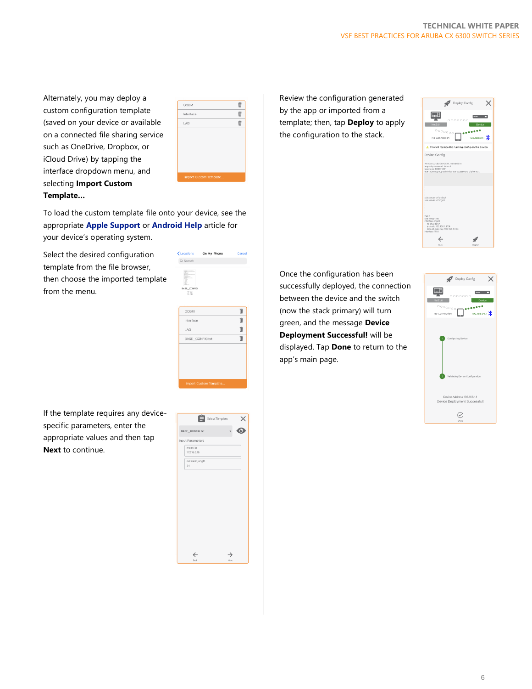Alternately, you may deploy a custom configuration template (saved on your device or available on a connected file sharing service such as OneDrive, Dropbox, or iCloud Drive) by tapping the interface dropdown menu, and selecting **Import Custom Template…**

| Ŵ |
|---|
| Ŵ |
| m |
|   |
|   |
|   |
|   |
|   |
|   |

To load the custom template file onto your device, see the appropriate **[Apple Support](https://support.apple.com/en-us/HT206481)** or **[Android Help](https://support.google.com/android/answer/9064445?hl=en)** article for your device's operating system.

Select the desired configuration template from the file browser, then choose the imported template from the menu.





If the template requires any devicespecific parameters, enter the appropriate values and then tap **Next** to continue.



Review the configuration generated by the app or imported from a template; then, tap **Deploy** to apply the configuration to the stack.

| Deploy Config                                                                                                                                                                                                      |  |
|--------------------------------------------------------------------------------------------------------------------------------------------------------------------------------------------------------------------|--|
| 0000000                                                                                                                                                                                                            |  |
| NetEdit<br>Device<br>00000000<br>192.168.99.1                                                                                                                                                                      |  |
| No Connection<br>This will replace the running config on the device.                                                                                                                                               |  |
| Device Config                                                                                                                                                                                                      |  |
| ï<br>Wersion ArubaOS-CX FL.10.04.0001<br>lexport-password: default<br>hostname 6300-VSF<br>user admin group administrators password ciphertext.                                                                    |  |
| ï<br>ssh server vrf default<br>ssh server vrf mgmt<br>ï<br>ï<br>ï<br>ï<br>vlan 1<br>spanning-tree<br>interface momt<br>no shutdown<br>lp static 192.168.1.1/24<br>default-gateway 192.168.1.254<br>Interface 1/1/1 |  |
| Reviv<br>Deploy                                                                                                                                                                                                    |  |

Once the configuration has been successfully deployed, the connection between the device and the switch (now the stack primary) will turn green, and the message **Device Deployment Successful!** will be displayed. Tap **Done** to return to the app's main page.

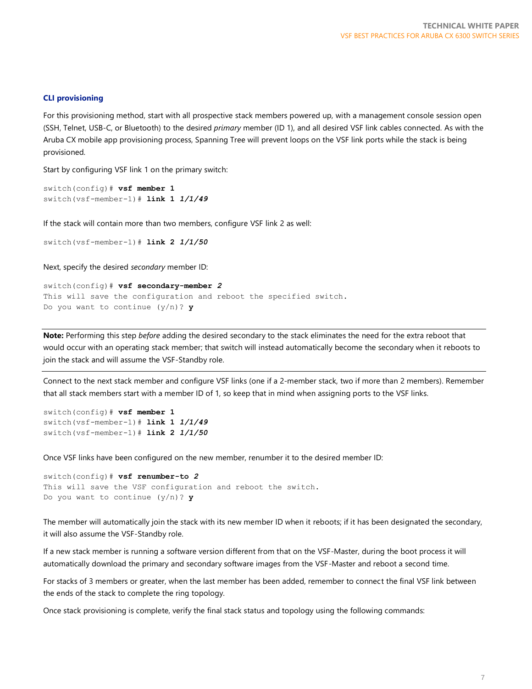#### <span id="page-6-0"></span>**CLI provisioning**

For this provisioning method, start with all prospective stack members powered up, with a management console session open (SSH, Telnet, USB-C, or Bluetooth) to the desired *primary* member (ID 1), and all desired VSF link cables connected. As with the Aruba CX mobile app provisioning process, Spanning Tree will prevent loops on the VSF link ports while the stack is being provisioned.

Start by configuring VSF link 1 on the primary switch:

```
switch(config)# vsf member 1
switch(vsf-member-1)# link 1 1/1/49
```
If the stack will contain more than two members, configure VSF link 2 as well:

switch(vsf-member-1)# **link 2** *1/1/50*

Next, specify the desired *secondary* member ID:

```
switch(config)# vsf secondary-member 2
This will save the configuration and reboot the specified switch.
Do you want to continue (y/n)? y
```
**Note:** Performing this step *before* adding the desired secondary to the stack eliminates the need for the extra reboot that would occur with an operating stack member; that switch will instead automatically become the secondary when it reboots to join the stack and will assume the VSF-Standby role.

Connect to the next stack member and configure VSF links (one if a 2-member stack, two if more than 2 members). Remember that all stack members start with a member ID of 1, so keep that in mind when assigning ports to the VSF links.

```
switch(config)# vsf member 1
switch(vsf-member-1)# link 1 1/1/49
switch(vsf-member-1)# link 2 1/1/50
```
Once VSF links have been configured on the new member, renumber it to the desired member ID:

```
switch(config)# vsf renumber-to 2
This will save the VSF configuration and reboot the switch.
Do you want to continue (y/n)? y
```
The member will automatically join the stack with its new member ID when it reboots; if it has been designated the secondary, it will also assume the VSF-Standby role.

If a new stack member is running a software version different from that on the VSF-Master, during the boot process it will automatically download the primary and secondary software images from the VSF-Master and reboot a second time.

For stacks of 3 members or greater, when the last member has been added, remember to connect the final VSF link between the ends of the stack to complete the ring topology.

Once stack provisioning is complete, verify the final stack status and topology using the following commands: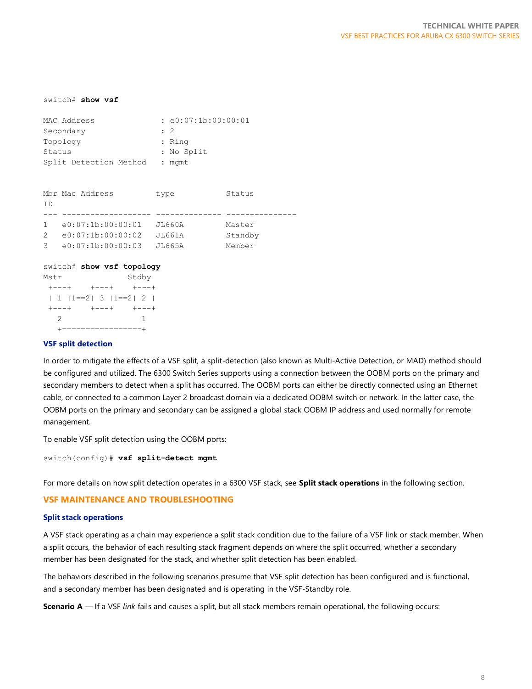#### switch# **show vsf**

| MAC Address            |           | : e0:07:1b:00:00:01 |
|------------------------|-----------|---------------------|
| Secondary              | $\cdot$ 2 |                     |
| Topology               |           | : Ring              |
| Status                 |           | : No Split          |
| Split Detection Method |           | : mgmt              |

| T D          | Mbr Mac Address   | type   | Status  |
|--------------|-------------------|--------|---------|
|              |                   |        |         |
| $\mathbf{1}$ | e0:07:1b:00:00:01 | JL660A | Master  |
| 2            | e0:07:1b:00:00:02 | JL661A | Standby |
| 3            | e0:07:1b:00:00:03 | JL665A | Member  |

#### switch# **show vsf topology**

| Mstr        |                     | Stdby       |
|-------------|---------------------|-------------|
| $+ - - - +$ | $+ - - - +$         | $+ - - - +$ |
|             | 1  1==2  3  1==2  2 |             |
| $+ - - - +$ | $+ - - - +$         | $+ - - - +$ |
| 2           |                     |             |
|             |                     |             |

#### <span id="page-7-0"></span>**VSF split detection**

In order to mitigate the effects of a VSF split, a split-detection (also known as Multi-Active Detection, or MAD) method should be configured and utilized. The 6300 Switch Series supports using a connection between the OOBM ports on the primary and secondary members to detect when a split has occurred. The OOBM ports can either be directly connected using an Ethernet cable, or connected to a common Layer 2 broadcast domain via a dedicated OOBM switch or network. In the latter case, the OOBM ports on the primary and secondary can be assigned a global stack OOBM IP address and used normally for remote management.

To enable VSF split detection using the OOBM ports:

switch(config)# **vsf split-detect mgmt**

For more details on how split detection operates in a 6300 VSF stack, see **Split stack operations** in the following section.

## <span id="page-7-1"></span>**VSF MAINTENANCE AND TROUBLESHOOTING**

#### <span id="page-7-2"></span>**Split stack operations**

A VSF stack operating as a chain may experience a split stack condition due to the failure of a VSF link or stack member. When a split occurs, the behavior of each resulting stack fragment depends on where the split occurred, whether a secondary member has been designated for the stack, and whether split detection has been enabled.

The behaviors described in the following scenarios presume that VSF split detection has been configured and is functional, and a secondary member has been designated and is operating in the VSF-Standby role.

**Scenario A** — If a VSF *link* fails and causes a split, but all stack members remain operational, the following occurs: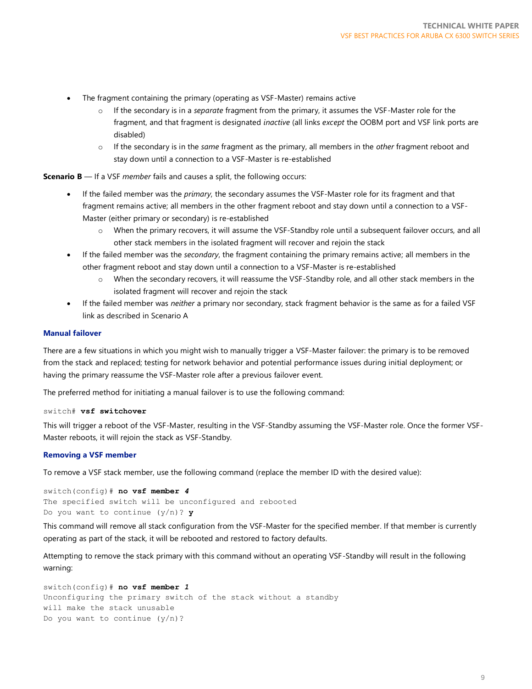- The fragment containing the primary (operating as VSF-Master) remains active
	- If the secondary is in a *separate* fragment from the primary, it assumes the VSF-Master role for the fragment, and that fragment is designated *inactive* (all links *except* the OOBM port and VSF link ports are disabled)
	- o If the secondary is in the *same* fragment as the primary, all members in the *other* fragment reboot and stay down until a connection to a VSF-Master is re-established

**Scenario B** — If a VSF *member* fails and causes a split, the following occurs:

- If the failed member was the *primary*, the secondary assumes the VSF-Master role for its fragment and that fragment remains active; all members in the other fragment reboot and stay down until a connection to a VSF-Master (either primary or secondary) is re-established
	- o When the primary recovers, it will assume the VSF-Standby role until a subsequent failover occurs, and all other stack members in the isolated fragment will recover and rejoin the stack
- If the failed member was the *secondary*, the fragment containing the primary remains active; all members in the other fragment reboot and stay down until a connection to a VSF-Master is re-established
	- o When the secondary recovers, it will reassume the VSF-Standby role, and all other stack members in the isolated fragment will recover and rejoin the stack
- If the failed member was *neither* a primary nor secondary, stack fragment behavior is the same as for a failed VSF link as described in Scenario A

#### <span id="page-8-0"></span>**Manual failover**

There are a few situations in which you might wish to manually trigger a VSF-Master failover: the primary is to be removed from the stack and replaced; testing for network behavior and potential performance issues during initial deployment; or having the primary reassume the VSF-Master role after a previous failover event.

The preferred method for initiating a manual failover is to use the following command:

#### switch# **vsf switchover**

This will trigger a reboot of the VSF-Master, resulting in the VSF-Standby assuming the VSF-Master role. Once the former VSF-Master reboots, it will rejoin the stack as VSF-Standby.

#### <span id="page-8-1"></span>**Removing a VSF member**

To remove a VSF stack member, use the following command (replace the member ID with the desired value):

switch(config)# **no vsf member** *4* The specified switch will be unconfigured and rebooted Do you want to continue (y/n)? **y**

This command will remove all stack configuration from the VSF-Master for the specified member. If that member is currently operating as part of the stack, it will be rebooted and restored to factory defaults.

Attempting to remove the stack primary with this command without an operating VSF-Standby will result in the following warning:

switch(config)# **no vsf member** *1* Unconfiguring the primary switch of the stack without a standby will make the stack unusable Do you want to continue  $(y/n)$ ?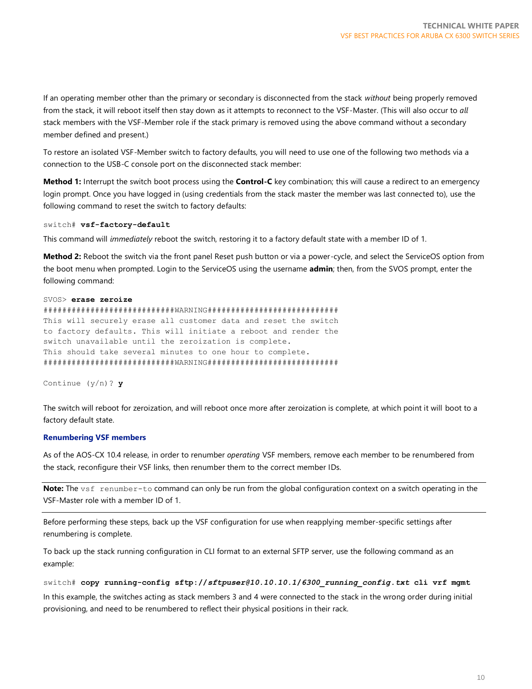If an operating member other than the primary or secondary is disconnected from the stack *without* being properly removed from the stack, it will reboot itself then stay down as it attempts to reconnect to the VSF-Master. (This will also occur to *all* stack members with the VSF-Member role if the stack primary is removed using the above command without a secondary member defined and present.)

To restore an isolated VSF-Member switch to factory defaults, you will need to use one of the following two methods via a connection to the USB-C console port on the disconnected stack member:

**Method 1:** Interrupt the switch boot process using the **Control-C** key combination; this will cause a redirect to an emergency login prompt. Once you have logged in (using credentials from the stack master the member was last connected to), use the following command to reset the switch to factory defaults:

#### switch# **vsf-factory-default**

This command will *immediately* reboot the switch, restoring it to a factory default state with a member ID of 1.

**Method 2:** Reboot the switch via the front panel Reset push button or via a power-cycle, and select the ServiceOS option from the boot menu when prompted. Login to the ServiceOS using the username **admin**; then, from the SVOS prompt, enter the following command:

```
SVOS> erase zeroize
############################WARNING############################
This will securely erase all customer data and reset the switch
to factory defaults. This will initiate a reboot and render the
switch unavailable until the zeroization is complete.
This should take several minutes to one hour to complete.
############################WARNING############################
```
Continue (y/n)? **y**

The switch will reboot for zeroization, and will reboot once more after zeroization is complete, at which point it will boot to a factory default state.

#### <span id="page-9-0"></span>**Renumbering VSF members**

As of the AOS-CX 10.4 release, in order to renumber *operating* VSF members, remove each member to be renumbered from the stack, reconfigure their VSF links, then renumber them to the correct member IDs.

**Note:** The vsf renumber-to command can only be run from the global configuration context on a switch operating in the VSF-Master role with a member ID of 1.

Before performing these steps, back up the VSF configuration for use when reapplying member-specific settings after renumbering is complete.

To back up the stack running configuration in CLI format to an external SFTP server, use the following command as an example:

switch# **copy running-config sftp://***sftpuser@10.10.10.1***/***6300\_running\_config.txt* **cli vrf mgmt** In this example, the switches acting as stack members 3 and 4 were connected to the stack in the wrong order during initial provisioning, and need to be renumbered to reflect their physical positions in their rack.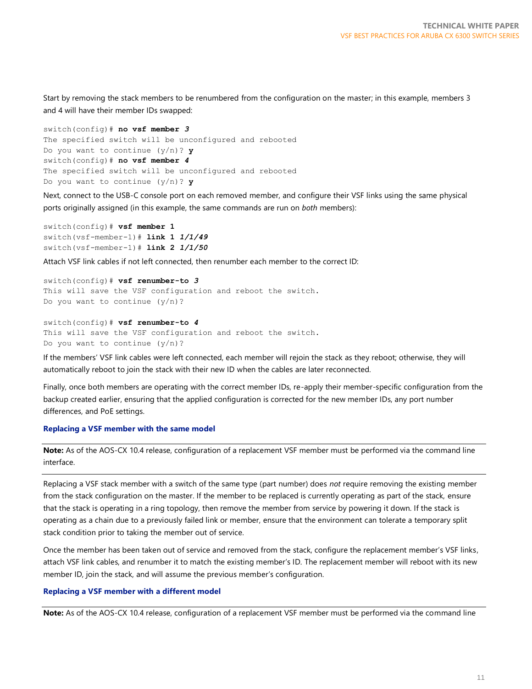Start by removing the stack members to be renumbered from the configuration on the master; in this example, members 3 and 4 will have their member IDs swapped:

```
switch(config)# no vsf member 3
The specified switch will be unconfigured and rebooted
Do you want to continue (y/n)? y
switch(config)# no vsf member 4
The specified switch will be unconfigured and rebooted
Do you want to continue (y/n)? y
```
Next, connect to the USB-C console port on each removed member, and configure their VSF links using the same physical ports originally assigned (in this example, the same commands are run on *both* members):

switch(config)# **vsf member 1** switch(vsf-member-1)# **link 1** *1/1/49* switch(vsf-member-1)# **link 2** *1/1/50*

Attach VSF link cables if not left connected, then renumber each member to the correct ID:

```
switch(config)# vsf renumber-to 3
This will save the VSF configuration and reboot the switch.
Do you want to continue (y/n)?
```
switch(config)# **vsf renumber-to** *4* This will save the VSF configuration and reboot the switch. Do you want to continue  $(y/n)$ ?

If the members' VSF link cables were left connected, each member will rejoin the stack as they reboot; otherwise, they will automatically reboot to join the stack with their new ID when the cables are later reconnected.

Finally, once both members are operating with the correct member IDs, re-apply their member-specific configuration from the backup created earlier, ensuring that the applied configuration is corrected for the new member IDs, any port number differences, and PoE settings.

#### <span id="page-10-0"></span>**Replacing a VSF member with the same model**

**Note:** As of the AOS-CX 10.4 release, configuration of a replacement VSF member must be performed via the command line interface.

Replacing a VSF stack member with a switch of the same type (part number) does *not* require removing the existing member from the stack configuration on the master. If the member to be replaced is currently operating as part of the stack, ensure that the stack is operating in a ring topology, then remove the member from service by powering it down. If the stack is operating as a chain due to a previously failed link or member, ensure that the environment can tolerate a temporary split stack condition prior to taking the member out of service.

Once the member has been taken out of service and removed from the stack, configure the replacement member's VSF links, attach VSF link cables, and renumber it to match the existing member's ID. The replacement member will reboot with its new member ID, join the stack, and will assume the previous member's configuration.

#### <span id="page-10-1"></span>**Replacing a VSF member with a different model**

**Note:** As of the AOS-CX 10.4 release, configuration of a replacement VSF member must be performed via the command line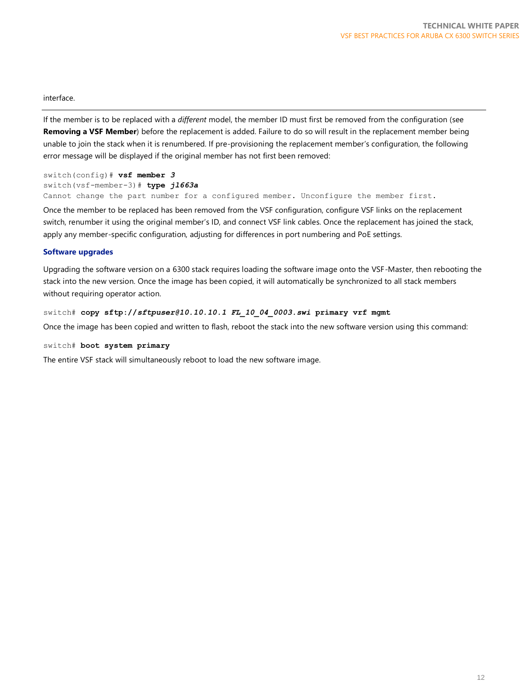#### interface.

If the member is to be replaced with a *different* model, the member ID must first be removed from the configuration (see **Removing a VSF Member**) before the replacement is added. Failure to do so will result in the replacement member being unable to join the stack when it is renumbered. If pre-provisioning the replacement member's configuration, the following error message will be displayed if the original member has not first been removed:

switch(config)# **vsf member** *3* switch(vsf-member-3)# **type** *jl663a* Cannot change the part number for a configured member. Unconfigure the member first.

Once the member to be replaced has been removed from the VSF configuration, configure VSF links on the replacement switch, renumber it using the original member's ID, and connect VSF link cables. Once the replacement has joined the stack, apply any member-specific configuration, adjusting for differences in port numbering and PoE settings.

## <span id="page-11-0"></span>**Software upgrades**

Upgrading the software version on a 6300 stack requires loading the software image onto the VSF-Master, then rebooting the stack into the new version. Once the image has been copied, it will automatically be synchronized to all stack members without requiring operator action.

#### switch# **copy sftp://***sftpuser@10.10.10.1 FL\_10\_04\_0003.swi* **primary vrf mgmt**

Once the image has been copied and written to flash, reboot the stack into the new software version using this command:

#### switch# **boot system primary**

The entire VSF stack will simultaneously reboot to load the new software image.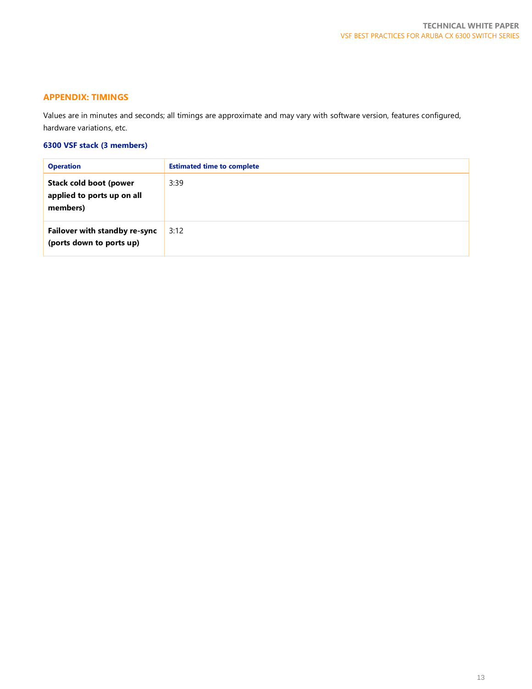## <span id="page-12-0"></span>**APPENDIX: TIMINGS**

Values are in minutes and seconds; all timings are approximate and may vary with software version, features configured, hardware variations, etc.

## <span id="page-12-1"></span>**6300 VSF stack (3 members)**

| <b>Operation</b>                                                 | <b>Estimated time to complete</b> |
|------------------------------------------------------------------|-----------------------------------|
| Stack cold boot (power<br>applied to ports up on all<br>members) | 3:39                              |
| <b>Failover with standby re-sync</b><br>(ports down to ports up) | 3:12                              |